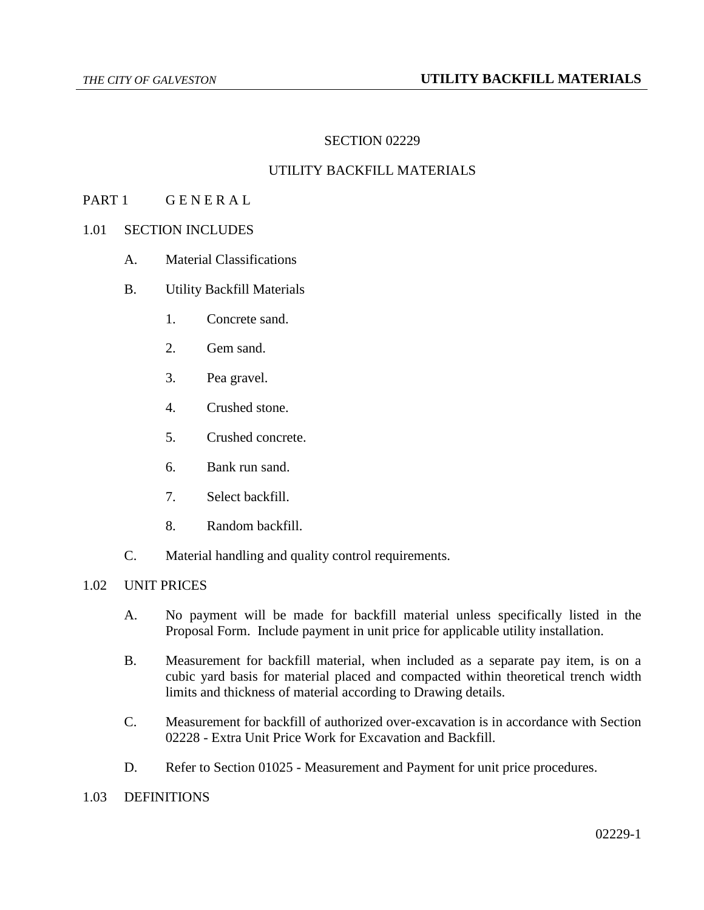## SECTION 02229

# UTILITY BACKFILL MATERIALS

#### PART 1 GENERAL

## 1.01 SECTION INCLUDES

- A. Material Classifications
- B. Utility Backfill Materials
	- 1. Concrete sand.
	- 2. Gem sand.
	- 3. Pea gravel.
	- 4. Crushed stone.
	- 5. Crushed concrete.
	- 6. Bank run sand.
	- 7. Select backfill.
	- 8. Random backfill.
- C. Material handling and quality control requirements.

#### 1.02 UNIT PRICES

- A. No payment will be made for backfill material unless specifically listed in the Proposal Form. Include payment in unit price for applicable utility installation.
- B. Measurement for backfill material, when included as a separate pay item, is on a cubic yard basis for material placed and compacted within theoretical trench width limits and thickness of material according to Drawing details.
- C. Measurement for backfill of authorized over-excavation is in accordance with Section 02228 - Extra Unit Price Work for Excavation and Backfill.
- D. Refer to Section 01025 Measurement and Payment for unit price procedures.
- 1.03 DEFINITIONS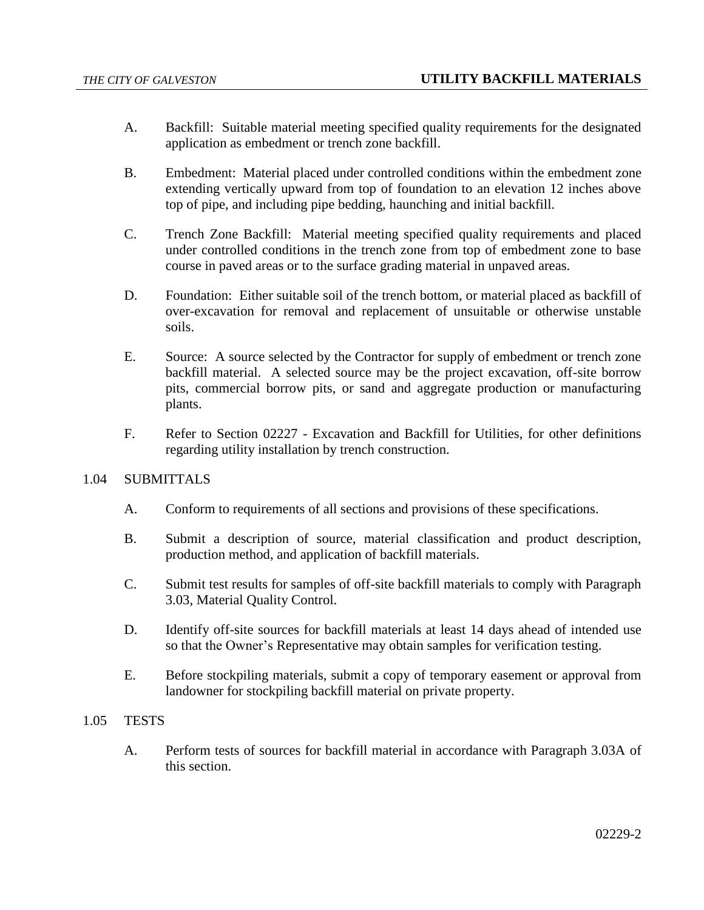- A. Backfill: Suitable material meeting specified quality requirements for the designated application as embedment or trench zone backfill.
- B. Embedment: Material placed under controlled conditions within the embedment zone extending vertically upward from top of foundation to an elevation 12 inches above top of pipe, and including pipe bedding, haunching and initial backfill.
- C. Trench Zone Backfill: Material meeting specified quality requirements and placed under controlled conditions in the trench zone from top of embedment zone to base course in paved areas or to the surface grading material in unpaved areas.
- D. Foundation: Either suitable soil of the trench bottom, or material placed as backfill of over-excavation for removal and replacement of unsuitable or otherwise unstable soils.
- E. Source: A source selected by the Contractor for supply of embedment or trench zone backfill material. A selected source may be the project excavation, off-site borrow pits, commercial borrow pits, or sand and aggregate production or manufacturing plants.
- F. Refer to Section 02227 Excavation and Backfill for Utilities, for other definitions regarding utility installation by trench construction.

# 1.04 SUBMITTALS

- A. Conform to requirements of all sections and provisions of these specifications.
- B. Submit a description of source, material classification and product description, production method, and application of backfill materials.
- C. Submit test results for samples of off-site backfill materials to comply with Paragraph 3.03, Material Quality Control.
- D. Identify off-site sources for backfill materials at least 14 days ahead of intended use so that the Owner's Representative may obtain samples for verification testing.
- E. Before stockpiling materials, submit a copy of temporary easement or approval from landowner for stockpiling backfill material on private property.

# 1.05 TESTS

A. Perform tests of sources for backfill material in accordance with Paragraph 3.03A of this section.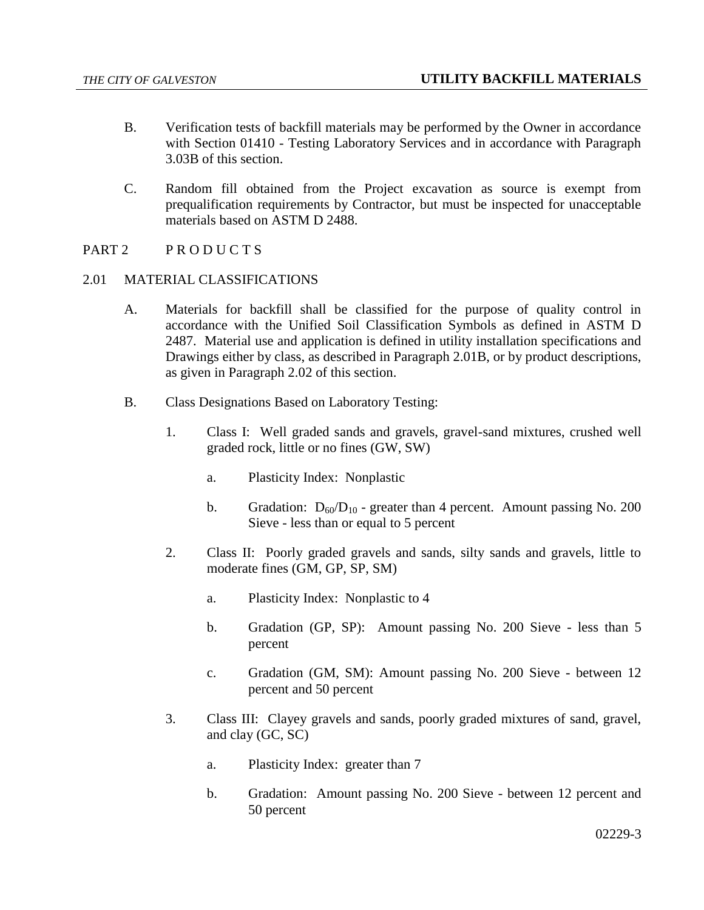- B. Verification tests of backfill materials may be performed by the Owner in accordance with Section 01410 - Testing Laboratory Services and in accordance with Paragraph 3.03B of this section.
- C. Random fill obtained from the Project excavation as source is exempt from prequalification requirements by Contractor, but must be inspected for unacceptable materials based on ASTM D 2488.
- PART 2 PRODUCTS

## 2.01 MATERIAL CLASSIFICATIONS

- A. Materials for backfill shall be classified for the purpose of quality control in accordance with the Unified Soil Classification Symbols as defined in ASTM D 2487. Material use and application is defined in utility installation specifications and Drawings either by class, as described in Paragraph 2.01B, or by product descriptions, as given in Paragraph 2.02 of this section.
- B. Class Designations Based on Laboratory Testing:
	- 1. Class I: Well graded sands and gravels, gravel-sand mixtures, crushed well graded rock, little or no fines (GW, SW)
		- a. Plasticity Index: Nonplastic
		- b. Gradation:  $D_{60}/D_{10}$  greater than 4 percent. Amount passing No. 200 Sieve - less than or equal to 5 percent
	- 2. Class II: Poorly graded gravels and sands, silty sands and gravels, little to moderate fines (GM, GP, SP, SM)
		- a. Plasticity Index: Nonplastic to 4
		- b. Gradation (GP, SP): Amount passing No. 200 Sieve less than 5 percent
		- c. Gradation (GM, SM): Amount passing No. 200 Sieve between 12 percent and 50 percent
	- 3. Class III: Clayey gravels and sands, poorly graded mixtures of sand, gravel, and clay (GC, SC)
		- a. Plasticity Index: greater than 7
		- b. Gradation: Amount passing No. 200 Sieve between 12 percent and 50 percent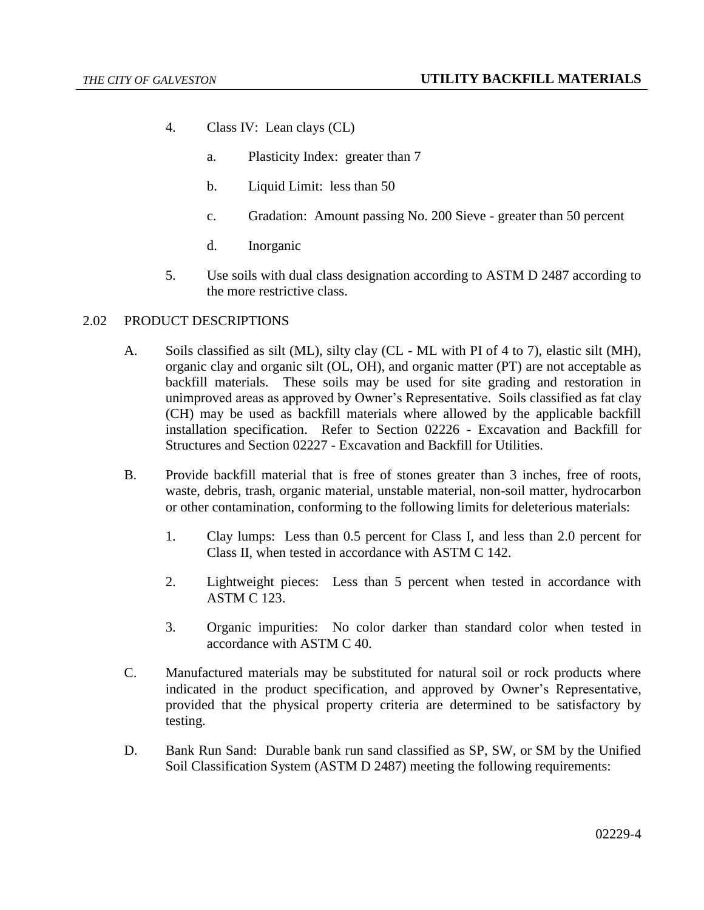- 4. Class IV: Lean clays (CL)
	- a. Plasticity Index: greater than 7
	- b. Liquid Limit: less than 50
	- c. Gradation: Amount passing No. 200 Sieve greater than 50 percent
	- d. Inorganic
- 5. Use soils with dual class designation according to ASTM D 2487 according to the more restrictive class.

#### 2.02 PRODUCT DESCRIPTIONS

- A. Soils classified as silt (ML), silty clay (CL ML with PI of 4 to 7), elastic silt (MH), organic clay and organic silt (OL, OH), and organic matter (PT) are not acceptable as backfill materials. These soils may be used for site grading and restoration in unimproved areas as approved by Owner's Representative. Soils classified as fat clay (CH) may be used as backfill materials where allowed by the applicable backfill installation specification. Refer to Section 02226 - Excavation and Backfill for Structures and Section 02227 - Excavation and Backfill for Utilities.
- B. Provide backfill material that is free of stones greater than 3 inches, free of roots, waste, debris, trash, organic material, unstable material, non-soil matter, hydrocarbon or other contamination, conforming to the following limits for deleterious materials:
	- 1. Clay lumps: Less than 0.5 percent for Class I, and less than 2.0 percent for Class II, when tested in accordance with ASTM C 142.
	- 2. Lightweight pieces: Less than 5 percent when tested in accordance with ASTM C 123.
	- 3. Organic impurities: No color darker than standard color when tested in accordance with ASTM C 40.
- C. Manufactured materials may be substituted for natural soil or rock products where indicated in the product specification, and approved by Owner's Representative, provided that the physical property criteria are determined to be satisfactory by testing.
- D. Bank Run Sand: Durable bank run sand classified as SP, SW, or SM by the Unified Soil Classification System (ASTM D 2487) meeting the following requirements: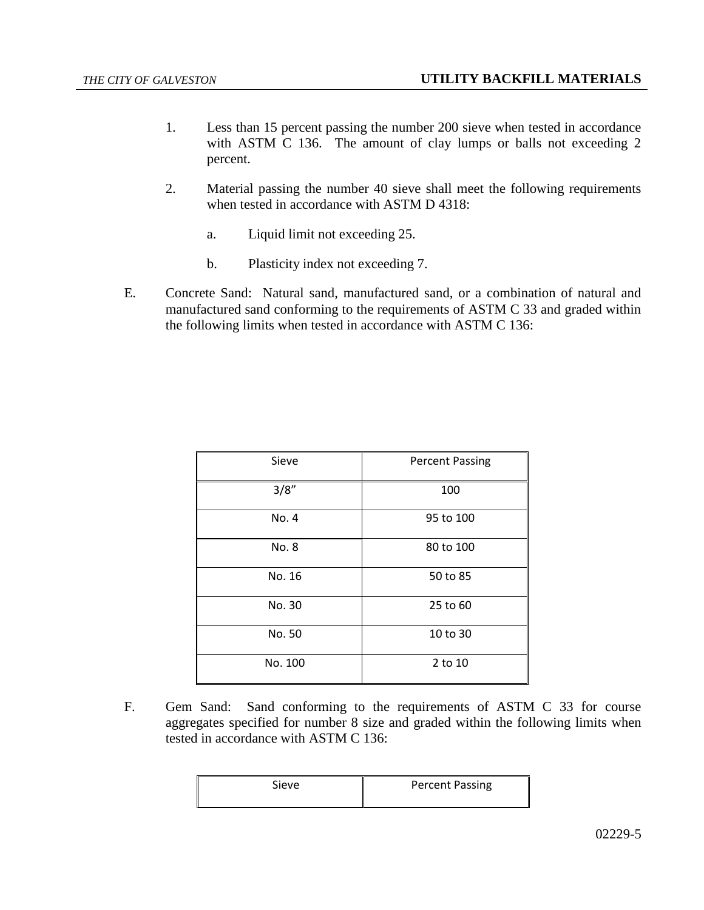- 1. Less than 15 percent passing the number 200 sieve when tested in accordance with ASTM C 136. The amount of clay lumps or balls not exceeding 2 percent.
- 2. Material passing the number 40 sieve shall meet the following requirements when tested in accordance with ASTM D 4318:
	- a. Liquid limit not exceeding 25.
	- b. Plasticity index not exceeding 7.
- E. Concrete Sand: Natural sand, manufactured sand, or a combination of natural and manufactured sand conforming to the requirements of ASTM C 33 and graded within the following limits when tested in accordance with ASTM C 136:

| Sieve   | <b>Percent Passing</b> |  |
|---------|------------------------|--|
| 3/8"    | 100                    |  |
| No. 4   | 95 to 100              |  |
| No. 8   | 80 to 100              |  |
| No. 16  | 50 to 85               |  |
| No. 30  | 25 to 60               |  |
| No. 50  | 10 to 30               |  |
| No. 100 | 2 to 10                |  |

F. Gem Sand: Sand conforming to the requirements of ASTM C 33 for course aggregates specified for number 8 size and graded within the following limits when tested in accordance with ASTM C 136:

| Sieve | <b>Percent Passing</b> |
|-------|------------------------|
|       |                        |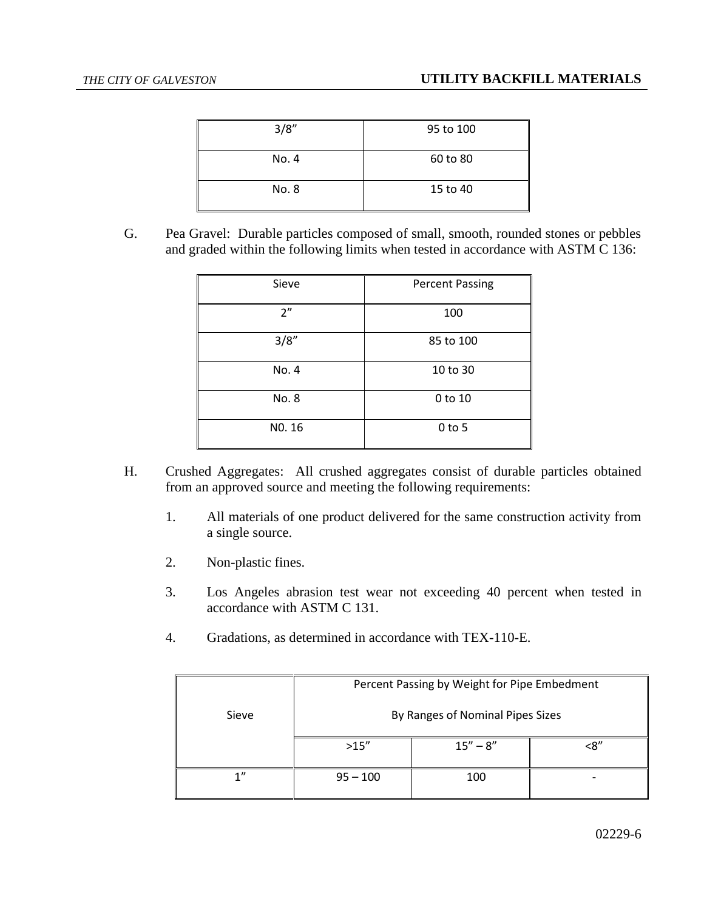| 3/8'' | 95 to 100 |
|-------|-----------|
| No. 4 | 60 to 80  |
| No. 8 | 15 to 40  |

G. Pea Gravel: Durable particles composed of small, smooth, rounded stones or pebbles and graded within the following limits when tested in accordance with ASTM C 136:

| Sieve  | <b>Percent Passing</b> |  |
|--------|------------------------|--|
| 2"     | 100                    |  |
| 3/8"   | 85 to 100              |  |
| No. 4  | 10 to 30               |  |
| No. 8  | 0 to 10                |  |
| NO. 16 | $0$ to 5               |  |

- H. Crushed Aggregates: All crushed aggregates consist of durable particles obtained from an approved source and meeting the following requirements:
	- 1. All materials of one product delivered for the same construction activity from a single source.
	- 2. Non-plastic fines.
	- 3. Los Angeles abrasion test wear not exceeding 40 percent when tested in accordance with ASTM C 131.
	- 4. Gradations, as determined in accordance with TEX-110-E.

|       | Percent Passing by Weight for Pipe Embedment<br>By Ranges of Nominal Pipes Sizes |              |     |
|-------|----------------------------------------------------------------------------------|--------------|-----|
| Sieve |                                                                                  |              |     |
|       | >15''                                                                            | $15'' - 8''$ | <ጸ" |
| 1     | $95 - 100$                                                                       | 100          |     |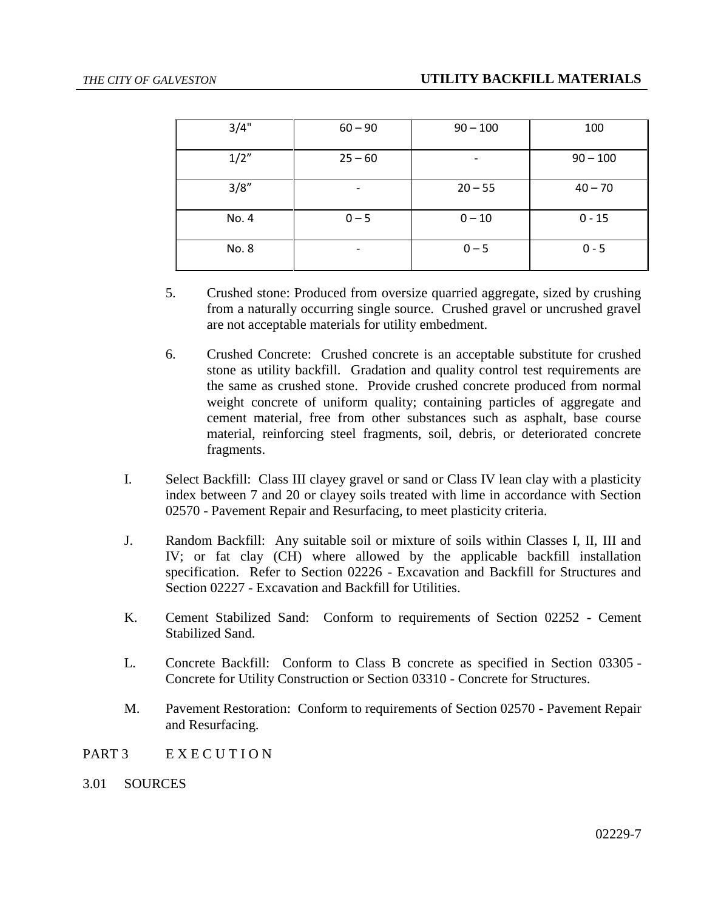| 3/4"  | $60 - 90$                | $90 - 100$ | 100        |
|-------|--------------------------|------------|------------|
| 1/2"  | $25 - 60$                |            | $90 - 100$ |
| 3/8'' | $\overline{\phantom{a}}$ | $20 - 55$  | $40 - 70$  |
| No. 4 | $0 - 5$                  | $0 - 10$   | $0 - 15$   |
| No. 8 | $\overline{\phantom{a}}$ | $0 - 5$    | $0 - 5$    |

- 5. Crushed stone: Produced from oversize quarried aggregate, sized by crushing from a naturally occurring single source. Crushed gravel or uncrushed gravel are not acceptable materials for utility embedment.
- 6. Crushed Concrete: Crushed concrete is an acceptable substitute for crushed stone as utility backfill. Gradation and quality control test requirements are the same as crushed stone. Provide crushed concrete produced from normal weight concrete of uniform quality; containing particles of aggregate and cement material, free from other substances such as asphalt, base course material, reinforcing steel fragments, soil, debris, or deteriorated concrete fragments.
- I. Select Backfill: Class III clayey gravel or sand or Class IV lean clay with a plasticity index between 7 and 20 or clayey soils treated with lime in accordance with Section 02570 - Pavement Repair and Resurfacing, to meet plasticity criteria.
- J. Random Backfill: Any suitable soil or mixture of soils within Classes I, II, III and IV; or fat clay (CH) where allowed by the applicable backfill installation specification. Refer to Section 02226 - Excavation and Backfill for Structures and Section 02227 - Excavation and Backfill for Utilities.
- K. Cement Stabilized Sand: Conform to requirements of Section 02252 Cement Stabilized Sand.
- L. Concrete Backfill: Conform to Class B concrete as specified in Section 03305 Concrete for Utility Construction or Section 03310 - Concrete for Structures.
- M. Pavement Restoration: Conform to requirements of Section 02570 Pavement Repair and Resurfacing.
- PART 3 EXECUTION
- 3.01 SOURCES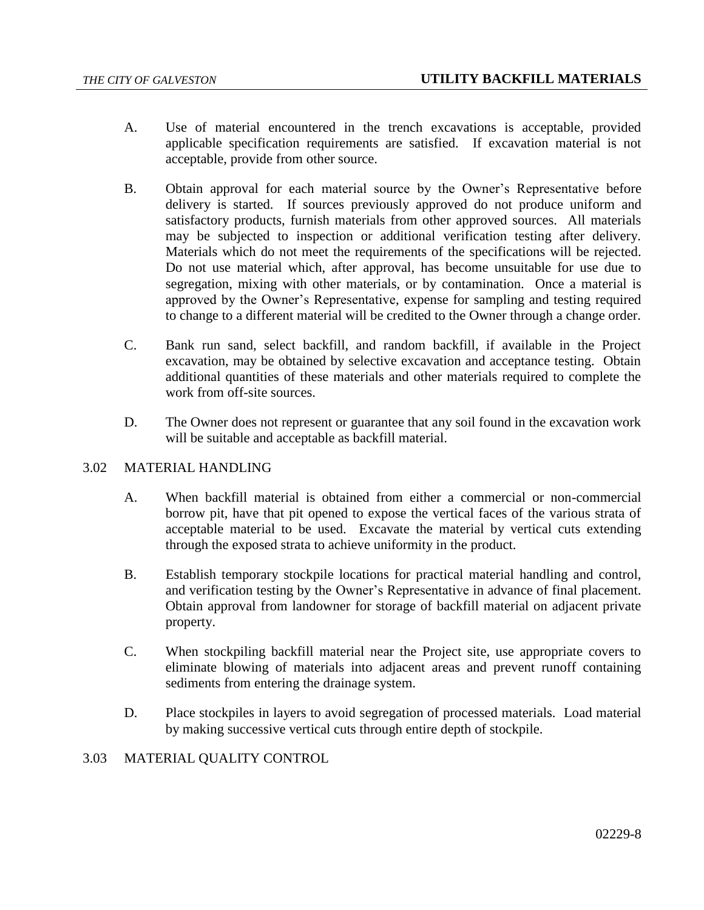- A. Use of material encountered in the trench excavations is acceptable, provided applicable specification requirements are satisfied. If excavation material is not acceptable, provide from other source.
- B. Obtain approval for each material source by the Owner's Representative before delivery is started. If sources previously approved do not produce uniform and satisfactory products, furnish materials from other approved sources. All materials may be subjected to inspection or additional verification testing after delivery. Materials which do not meet the requirements of the specifications will be rejected. Do not use material which, after approval, has become unsuitable for use due to segregation, mixing with other materials, or by contamination. Once a material is approved by the Owner's Representative, expense for sampling and testing required to change to a different material will be credited to the Owner through a change order.
- C. Bank run sand, select backfill, and random backfill, if available in the Project excavation, may be obtained by selective excavation and acceptance testing. Obtain additional quantities of these materials and other materials required to complete the work from off-site sources.
- D. The Owner does not represent or guarantee that any soil found in the excavation work will be suitable and acceptable as backfill material.

# 3.02 MATERIAL HANDLING

- A. When backfill material is obtained from either a commercial or non-commercial borrow pit, have that pit opened to expose the vertical faces of the various strata of acceptable material to be used. Excavate the material by vertical cuts extending through the exposed strata to achieve uniformity in the product.
- B. Establish temporary stockpile locations for practical material handling and control, and verification testing by the Owner's Representative in advance of final placement. Obtain approval from landowner for storage of backfill material on adjacent private property.
- C. When stockpiling backfill material near the Project site, use appropriate covers to eliminate blowing of materials into adjacent areas and prevent runoff containing sediments from entering the drainage system.
- D. Place stockpiles in layers to avoid segregation of processed materials. Load material by making successive vertical cuts through entire depth of stockpile.
- 3.03 MATERIAL QUALITY CONTROL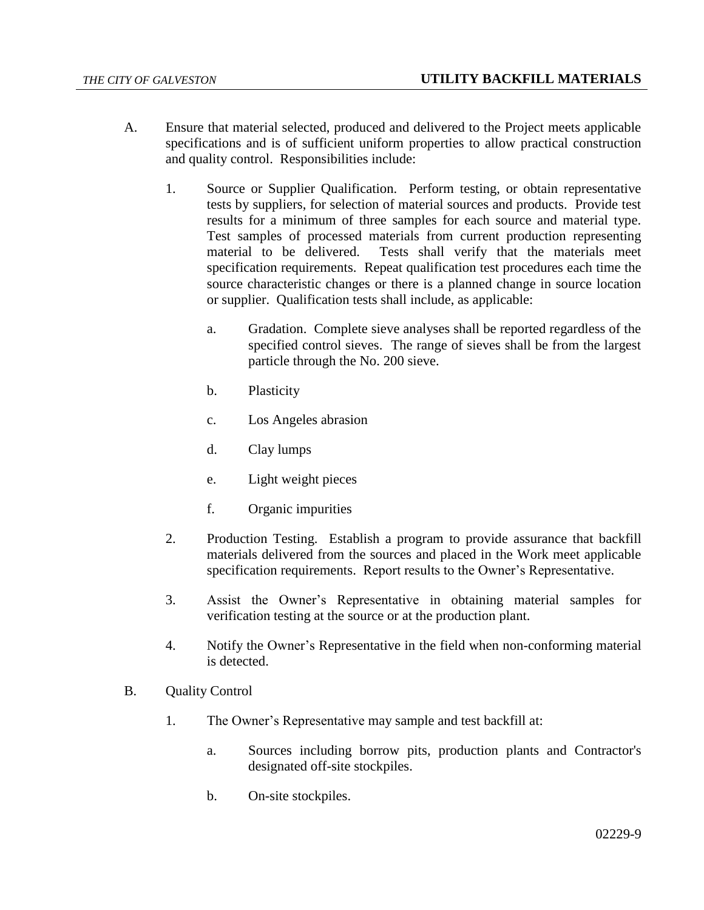- A. Ensure that material selected, produced and delivered to the Project meets applicable specifications and is of sufficient uniform properties to allow practical construction and quality control. Responsibilities include:
	- 1. Source or Supplier Qualification. Perform testing, or obtain representative tests by suppliers, for selection of material sources and products. Provide test results for a minimum of three samples for each source and material type. Test samples of processed materials from current production representing material to be delivered. Tests shall verify that the materials meet specification requirements. Repeat qualification test procedures each time the source characteristic changes or there is a planned change in source location or supplier. Qualification tests shall include, as applicable:
		- a. Gradation. Complete sieve analyses shall be reported regardless of the specified control sieves. The range of sieves shall be from the largest particle through the No. 200 sieve.
		- b. Plasticity
		- c. Los Angeles abrasion
		- d. Clay lumps
		- e. Light weight pieces
		- f. Organic impurities
	- 2. Production Testing. Establish a program to provide assurance that backfill materials delivered from the sources and placed in the Work meet applicable specification requirements. Report results to the Owner's Representative.
	- 3. Assist the Owner's Representative in obtaining material samples for verification testing at the source or at the production plant.
	- 4. Notify the Owner's Representative in the field when non-conforming material is detected.
- B. Quality Control
	- 1. The Owner's Representative may sample and test backfill at:
		- a. Sources including borrow pits, production plants and Contractor's designated off-site stockpiles.
		- b. On-site stockpiles.